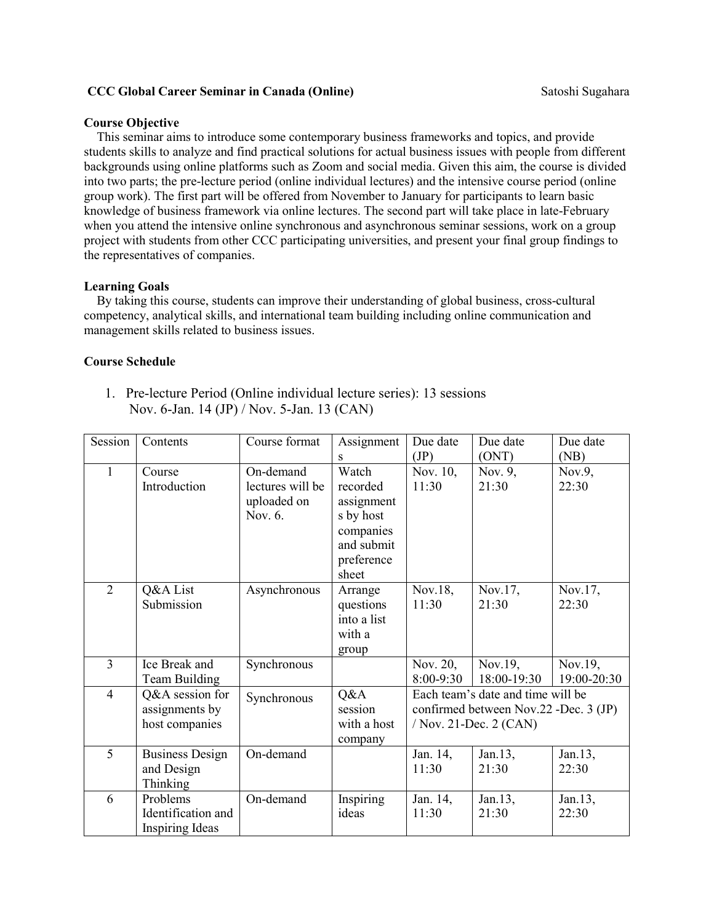#### **CCC Global Career Seminar in Canada (Online) Satoshi Sugahara** Satoshi Sugahara

#### **Course Objective**

This seminar aims to introduce some contemporary business frameworks and topics, and provide students skills to analyze and find practical solutions for actual business issues with people from different backgrounds using online platforms such as Zoom and social media. Given this aim, the course is divided into two parts; the pre-lecture period (online individual lectures) and the intensive course period (online group work). The first part will be offered from November to January for participants to learn basic knowledge of business framework via online lectures. The second part will take place in late-February when you attend the intensive online synchronous and asynchronous seminar sessions, work on a group project with students from other CCC participating universities, and present your final group findings to the representatives of companies.

## **Learning Goals**

By taking this course, students can improve their understanding of global business, cross-cultural competency, analytical skills, and international team building including online communication and management skills related to business issues.

#### **Course Schedule**

1. Pre-lecture Period (Online individual lecture series): 13 sessions Nov. 6-Jan. 14 (JP) / Nov. 5-Jan. 13 (CAN)

| Session        | Contents                                                 | Course format                                           | Assignment                                                                                          | Due date                                                                                             | Due date                  | Due date                |
|----------------|----------------------------------------------------------|---------------------------------------------------------|-----------------------------------------------------------------------------------------------------|------------------------------------------------------------------------------------------------------|---------------------------|-------------------------|
| $\mathbf{1}$   | Course<br>Introduction                                   | On-demand<br>lectures will be<br>uploaded on<br>Nov. 6. | S<br>Watch<br>recorded<br>assignment<br>s by host<br>companies<br>and submit<br>preference<br>sheet | (JP)<br>Nov. 10,<br>11:30                                                                            | (ONT)<br>Nov. 9,<br>21:30 | (NB)<br>Nov.9,<br>22:30 |
| $\overline{2}$ | Q&A List<br>Submission                                   | Asynchronous                                            | Arrange<br>questions<br>into a list<br>with a<br>group                                              | Nov.18,<br>11:30                                                                                     | Nov.17,<br>21:30          | Nov.17,<br>22:30        |
| 3              | Ice Break and<br>Team Building                           | Synchronous                                             |                                                                                                     | Nov. 20,<br>8:00-9:30                                                                                | Nov.19,<br>18:00-19:30    | Nov.19,<br>19:00-20:30  |
| $\overline{4}$ | Q&A session for<br>assignments by<br>host companies      | Synchronous                                             | Q&A<br>session<br>with a host<br>company                                                            | Each team's date and time will be<br>confirmed between Nov.22 -Dec. 3 (JP)<br>/ Nov. 21-Dec. 2 (CAN) |                           |                         |
| 5              | <b>Business Design</b><br>and Design<br>Thinking         | On-demand                                               |                                                                                                     | Jan. 14,<br>11:30                                                                                    | Jan.13,<br>21:30          | Jan.13,<br>22:30        |
| 6              | Problems<br>Identification and<br><b>Inspiring Ideas</b> | On-demand                                               | Inspiring<br>ideas                                                                                  | Jan. 14,<br>11:30                                                                                    | Jan.13,<br>21:30          | Jan.13,<br>22:30        |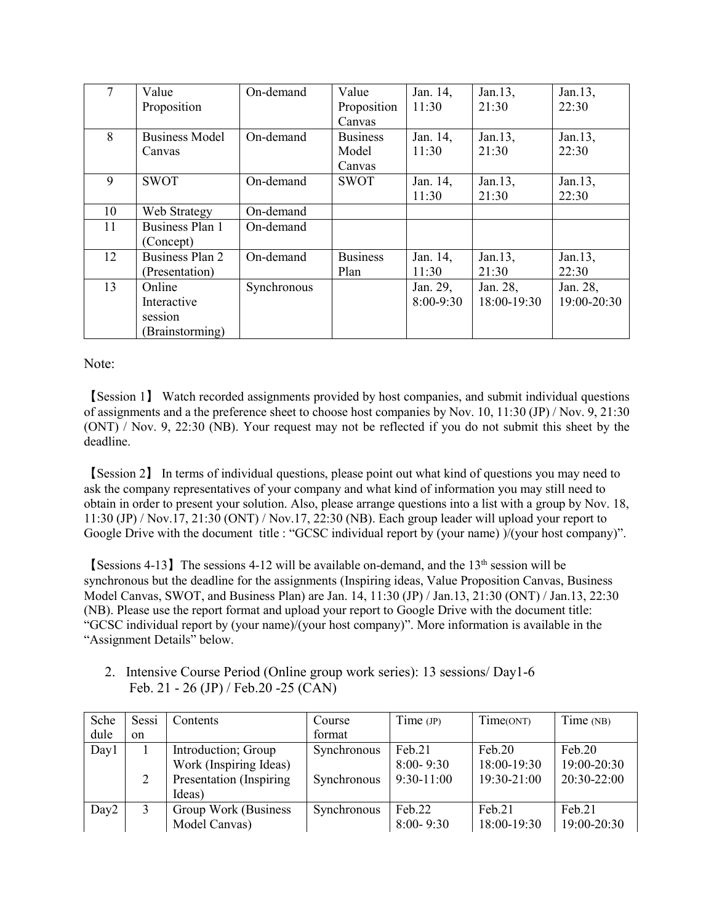| 7  | Value                  | On-demand   | Value           | Jan. 14,    | Jan.13,     | Jan.13,     |
|----|------------------------|-------------|-----------------|-------------|-------------|-------------|
|    | Proposition            |             | Proposition     | 11:30       | 21:30       | 22:30       |
|    |                        |             | Canvas          |             |             |             |
| 8  | <b>Business Model</b>  | On-demand   | <b>Business</b> | Jan. 14,    | Jan.13,     | Jan.13,     |
|    | Canvas                 |             | Model           | 11:30       | 21:30       | 22:30       |
|    |                        |             | Canvas          |             |             |             |
| 9  | <b>SWOT</b>            | On-demand   | <b>SWOT</b>     | Jan. 14,    | Jan.13,     | Jan.13,     |
|    |                        |             |                 | 11:30       | 21:30       | 22:30       |
| 10 | Web Strategy           | On-demand   |                 |             |             |             |
| 11 | <b>Business Plan 1</b> | On-demand   |                 |             |             |             |
|    | (Concept)              |             |                 |             |             |             |
| 12 | Business Plan 2        | On-demand   | <b>Business</b> | Jan. 14,    | Jan.13,     | Jan.13,     |
|    | (Presentation)         |             | Plan            | 11:30       | 21:30       | 22:30       |
| 13 | Online                 | Synchronous |                 | Jan. 29,    | Jan. 28,    | Jan. 28,    |
|    | Interactive            |             |                 | $8:00-9:30$ | 18:00-19:30 | 19:00-20:30 |
|    | session                |             |                 |             |             |             |
|    | (Brainstorming)        |             |                 |             |             |             |

Note:

【Session 1】 Watch recorded assignments provided by host companies, and submit individual questions of assignments and a the preference sheet to choose host companies by Nov. 10, 11:30 (JP) / Nov. 9, 21:30 (ONT) / Nov. 9, 22:30 (NB). Your request may not be reflected if you do not submit this sheet by the deadline.

【Session 2】 In terms of individual questions, please point out what kind of questions you may need to ask the company representatives of your company and what kind of information you may still need to obtain in order to present your solution. Also, please arrange questions into a list with a group by Nov. 18, 11:30 (JP) / Nov.17, 21:30 (ONT) / Nov.17, 22:30 (NB). Each group leader will upload your report to Google Drive with the document title : "GCSC individual report by (your name) )/(your host company)".

**[Sessions 4-13]** The sessions 4-12 will be available on-demand, and the  $13<sup>th</sup>$  session will be synchronous but the deadline for the assignments (Inspiring ideas, Value Proposition Canvas, Business Model Canvas, SWOT, and Business Plan) are Jan. 14, 11:30 (JP) / Jan.13, 21:30 (ONT) / Jan.13, 22:30 (NB). Please use the report format and upload your report to Google Drive with the document title: "GCSC individual report by (your name)/(your host company)". More information is available in the "Assignment Details" below.

2. Intensive Course Period (Online group work series): 13 sessions/ Day1-6 Feb. 21 - 26 (JP) / Feb.20 -25 (CAN)

| Sche             | Sessi          | Contents                 | Course      | Time (JP)     | Time(ONT)   | Time (NB)   |
|------------------|----------------|--------------------------|-------------|---------------|-------------|-------------|
| dule             | on.            |                          | format      |               |             |             |
| Day1             |                | Introduction; Group      | Synchronous | Feb.21        | Feb.20      | Feb.20      |
|                  |                | Work (Inspiring Ideas)   |             | $8:00 - 9:30$ | 18:00-19:30 | 19:00-20:30 |
|                  | $\overline{2}$ | Presentation (Inspiring) | Synchronous | $9:30-11:00$  | 19:30-21:00 | 20:30-22:00 |
|                  |                | Ideas)                   |             |               |             |             |
| Day <sub>2</sub> | 3              | Group Work (Business     | Synchronous | Feb.22        | Feh.21      | Feh.21      |
|                  |                | Model Canvas)            |             | $8:00 - 9:30$ | 18:00-19:30 | 19:00-20:30 |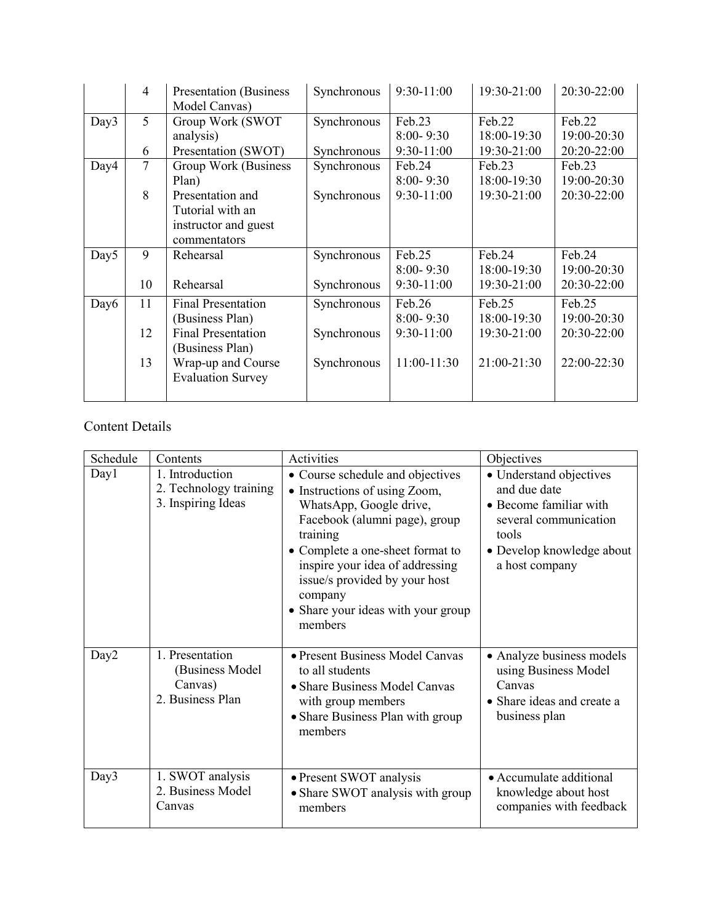|                  | $\overline{4}$ | <b>Presentation</b> (Business<br>Model Canvas) | Synchronous | 9:30-11:00    | 19:30-21:00 | 20:30-22:00 |
|------------------|----------------|------------------------------------------------|-------------|---------------|-------------|-------------|
| Day3             | 5              | Group Work (SWOT                               | Synchronous | Feb.23        | Feb.22      | Feb.22      |
|                  |                | analysis)                                      |             | $8:00 - 9:30$ | 18:00-19:30 | 19:00-20:30 |
|                  | 6              | Presentation (SWOT)                            | Synchronous | 9:30-11:00    | 19:30-21:00 | 20:20-22:00 |
| Day4             | 7              | Group Work (Business                           | Synchronous | Feb.24        | Feb.23      | Feb.23      |
|                  |                | Plan)                                          |             | $8:00 - 9:30$ | 18:00-19:30 | 19:00-20:30 |
|                  | 8              | Presentation and                               | Synchronous | 9:30-11:00    | 19:30-21:00 | 20:30-22:00 |
|                  |                | Tutorial with an                               |             |               |             |             |
|                  |                | instructor and guest                           |             |               |             |             |
|                  |                | commentators                                   |             |               |             |             |
| Day <sub>5</sub> | 9              | Rehearsal                                      | Synchronous | Feb.25        | Feb.24      | Feb.24      |
|                  |                |                                                |             | $8:00 - 9:30$ | 18:00-19:30 | 19:00-20:30 |
|                  | 10             | Rehearsal                                      | Synchronous | 9:30-11:00    | 19:30-21:00 | 20:30-22:00 |
| Day6             | 11             | <b>Final Presentation</b>                      | Synchronous | Feb.26        | Feb.25      | Feb.25      |
|                  |                | (Business Plan)                                |             | $8:00 - 9:30$ | 18:00-19:30 | 19:00-20:30 |
|                  | 12             | <b>Final Presentation</b>                      | Synchronous | 9:30-11:00    | 19:30-21:00 | 20:30-22:00 |
|                  |                | (Business Plan)                                |             |               |             |             |
|                  | 13             | Wrap-up and Course                             | Synchronous | 11:00-11:30   | 21:00-21:30 | 22:00-22:30 |
|                  |                | <b>Evaluation Survey</b>                       |             |               |             |             |
|                  |                |                                                |             |               |             |             |

# Content Details

| Schedule         | Contents                                                          | Activities                                                                                                                                                                                                                                                                                                    | Objectives                                                                                                                                         |
|------------------|-------------------------------------------------------------------|---------------------------------------------------------------------------------------------------------------------------------------------------------------------------------------------------------------------------------------------------------------------------------------------------------------|----------------------------------------------------------------------------------------------------------------------------------------------------|
| Day1             | 1. Introduction<br>2. Technology training<br>3. Inspiring Ideas   | • Course schedule and objectives<br>• Instructions of using Zoom,<br>WhatsApp, Google drive,<br>Facebook (alumni page), group<br>training<br>• Complete a one-sheet format to<br>inspire your idea of addressing<br>issue/s provided by your host<br>company<br>• Share your ideas with your group<br>members | • Understand objectives<br>and due date<br>• Become familiar with<br>several communication<br>tools<br>• Develop knowledge about<br>a host company |
| Day <sub>2</sub> | 1. Presentation<br>(Business Model<br>Canvas)<br>2. Business Plan | • Present Business Model Canvas<br>to all students<br>• Share Business Model Canvas<br>with group members<br>• Share Business Plan with group<br>members                                                                                                                                                      | • Analyze business models<br>using Business Model<br>Canvas<br>• Share ideas and create a<br>business plan                                         |
| Day3             | 1. SWOT analysis<br>2. Business Model<br>Canvas                   | • Present SWOT analysis<br>• Share SWOT analysis with group<br>members                                                                                                                                                                                                                                        | • Accumulate additional<br>knowledge about host<br>companies with feedback                                                                         |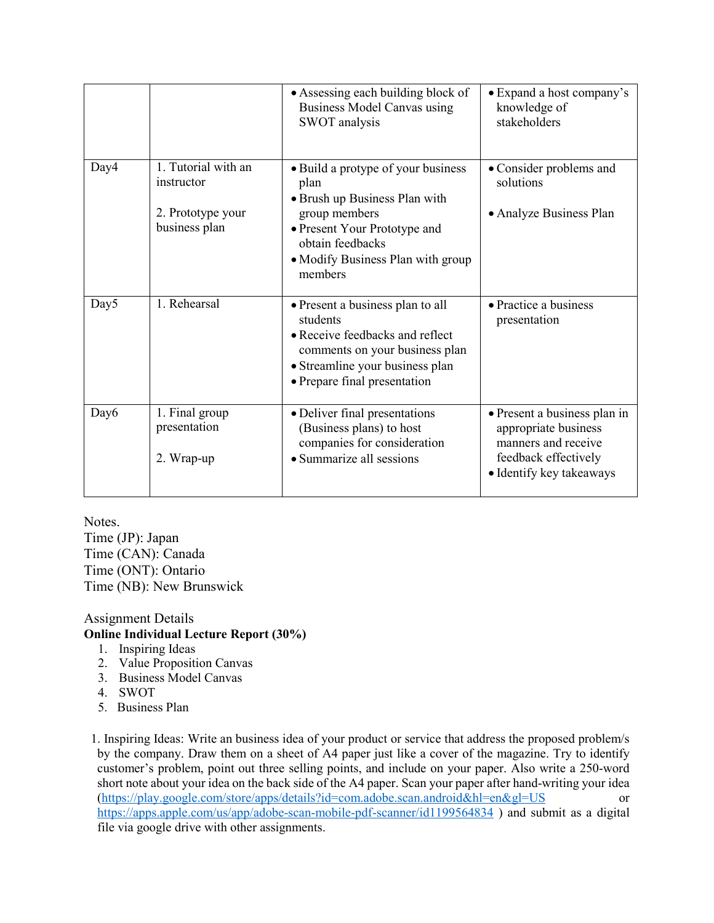|                  |                                                                         | • Assessing each building block of<br>Business Model Canvas using<br>SWOT analysis                                                                                                               | • Expand a host company's<br>knowledge of<br>stakeholders                                                                       |
|------------------|-------------------------------------------------------------------------|--------------------------------------------------------------------------------------------------------------------------------------------------------------------------------------------------|---------------------------------------------------------------------------------------------------------------------------------|
| Day4             | 1. Tutorial with an<br>instructor<br>2. Prototype your<br>business plan | • Build a protype of your business<br>plan<br>• Brush up Business Plan with<br>group members<br>• Present Your Prototype and<br>obtain feedbacks<br>• Modify Business Plan with group<br>members | • Consider problems and<br>solutions<br>• Analyze Business Plan                                                                 |
| Day <sub>5</sub> | 1. Rehearsal                                                            | • Present a business plan to all<br>students<br>• Receive feedbacks and reflect<br>comments on your business plan<br>• Streamline your business plan<br>• Prepare final presentation             | • Practice a business<br>presentation                                                                                           |
| Day6             | 1. Final group<br>presentation<br>2. Wrap-up                            | • Deliver final presentations<br>(Business plans) to host<br>companies for consideration<br>• Summarize all sessions                                                                             | • Present a business plan in<br>appropriate business<br>manners and receive<br>feedback effectively<br>• Identify key takeaways |

Notes.

Time (JP): Japan Time (CAN): Canada Time (ONT): Ontario Time (NB): New Brunswick

## Assignment Details **Online Individual Lecture Report (30%)**

- 1. Inspiring Ideas
- 2. Value Proposition Canvas
- 3. Business Model Canvas
- 4. SWOT
- 5. Business Plan

1. Inspiring Ideas: Write an business idea of your product or service that address the proposed problem/s by the company. Draw them on a sheet of A4 paper just like a cover of the magazine. Try to identify customer's problem, point out three selling points, and include on your paper. Also write a 250-word short note about your idea on the back side of the A4 paper. Scan your paper after hand-writing your idea [\(https://play.google.com/store/apps/details?id=com.adobe.scan.android&hl=en&gl=US](https://play.google.com/store/apps/details?id=com.adobe.scan.android&hl=en&gl=US) or <https://apps.apple.com/us/app/adobe-scan-mobile-pdf-scanner/id1199564834> ) and submit as a digital file via google drive with other assignments.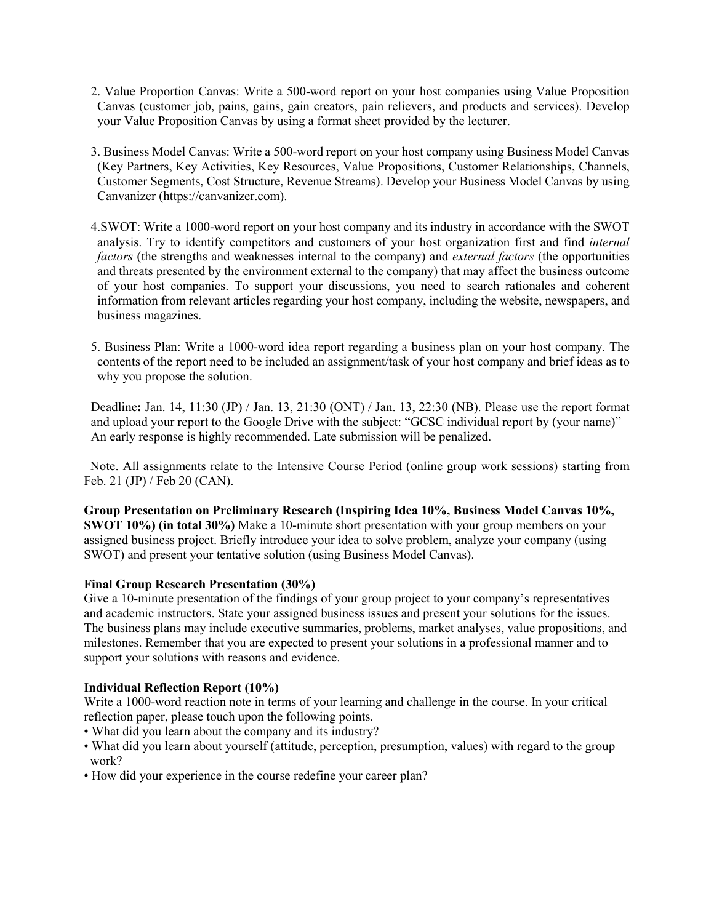- 2. Value Proportion Canvas: Write a 500-word report on your host companies using Value Proposition Canvas (customer job, pains, gains, gain creators, pain relievers, and products and services). Develop your Value Proposition Canvas by using a format sheet provided by the lecturer.
- 3. Business Model Canvas: Write a 500-word report on your host company using Business Model Canvas (Key Partners, Key Activities, Key Resources, Value Propositions, Customer Relationships, Channels, Customer Segments, Cost Structure, Revenue Streams). Develop your Business Model Canvas by using Canvanizer (https://canvanizer.com).
- 4.SWOT: Write a 1000-word report on your host company and its industry in accordance with the SWOT analysis. Try to identify competitors and customers of your host organization first and find *internal factors* (the strengths and weaknesses internal to the company) and *external factors* (the opportunities and threats presented by the environment external to the company) that may affect the business outcome of your host companies. To support your discussions, you need to search rationales and coherent information from relevant articles regarding your host company, including the website, newspapers, and business magazines.
- 5. Business Plan: Write a 1000-word idea report regarding a business plan on your host company. The contents of the report need to be included an assignment/task of your host company and brief ideas as to why you propose the solution.

Deadline**:** Jan. 14, 11:30 (JP) / Jan. 13, 21:30 (ONT) / Jan. 13, 22:30 (NB). Please use the report format and upload your report to the Google Drive with the subject: "GCSC individual report by (your name)" An early response is highly recommended. Late submission will be penalized.

Note. All assignments relate to the Intensive Course Period (online group work sessions) starting from Feb. 21 (JP) / Feb 20 (CAN).

**Group Presentation on Preliminary Research (Inspiring Idea 10%, Business Model Canvas 10%, SWOT 10%) (in total 30%)** Make a 10-minute short presentation with your group members on your assigned business project. Briefly introduce your idea to solve problem, analyze your company (using SWOT) and present your tentative solution (using Business Model Canvas).

## **Final Group Research Presentation (30%)**

Give a 10-minute presentation of the findings of your group project to your company's representatives and academic instructors. State your assigned business issues and present your solutions for the issues. The business plans may include executive summaries, problems, market analyses, value propositions, and milestones. Remember that you are expected to present your solutions in a professional manner and to support your solutions with reasons and evidence.

## **Individual Reflection Report (10%)**

Write a 1000-word reaction note in terms of your learning and challenge in the course. In your critical reflection paper, please touch upon the following points.

- What did you learn about the company and its industry?
- What did you learn about yourself (attitude, perception, presumption, values) with regard to the group work?
- How did your experience in the course redefine your career plan?